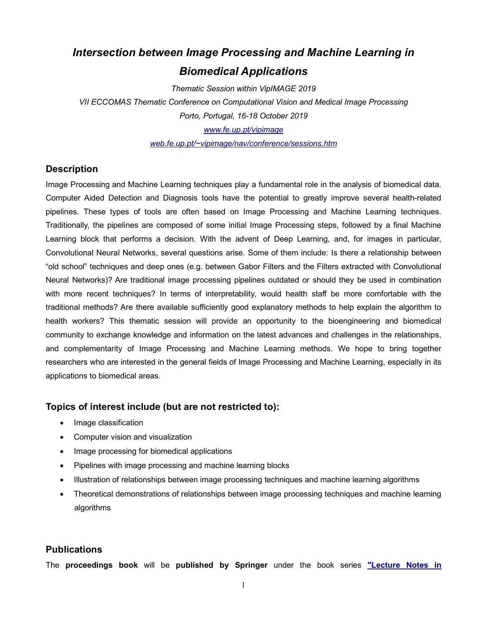# *Intersection between Image Processing and Machine Learning in Biomedical Applications*

*Thematic Session within VipIMAGE 2019*

*VII ECCOMAS Thematic Conference on Computational Vision and Medical Image Processing Porto, Portugal, 16-18 October 2019 www.fe.up.pt/vipimage*

*web.fe.up.pt/~vipimage/nav/conference/sessions.htm*

## **Description**

Image Processing and Machine Learning techniques play a fundamental role in the analysis of biomedical data. Computer Aided Detection and Diagnosis tools have the potential to greatly improve several health-related pipelines. These types of tools are often based on Image Processing and Machine Learning techniques. Traditionally, the pipelines are composed of some initial Image Processing steps, followed by a final Machine Learning block that performs a decision. With the advent of Deep Learning, and, for images in particular, Convolutional Neural Networks, several questions arise. Some of them include: Is there a relationship between "old school" techniques and deep ones (e.g. between Gabor Filters and the Filters extracted with Convolutional Neural Networks)? Are traditional image processing pipelines outdated or should they be used in combination with more recent techniques? In terms of interpretability, would health staff be more comfortable with the traditional methods? Are there available sufficiently good explanatory methods to help explain the algorithm to health workers? This thematic session will provide an opportunity to the bioengineering and biomedical community to exchange knowledge and information on the latest advances and challenges in the relationships, and complementarity of Image Processing and Machine Learning methods. We hope to bring together researchers who are interested in the general fields of Image Processing and Machine Learning, especially in its applications to biomedical areas.

## **Topics of interest include (but are not restricted to):**

- Image classification
- Computer vision and visualization
- Image processing for biomedical applications
- Pipelines with image processing and machine learning blocks
- Illustration of relationships between image processing techniques and machine learning algorithms
- Theoretical demonstrations of relationships between image processing techniques and machine learning algorithms

## **Publications**

The **proceedings book** will be **published by Springer** under the book series **"Lecture Notes in**